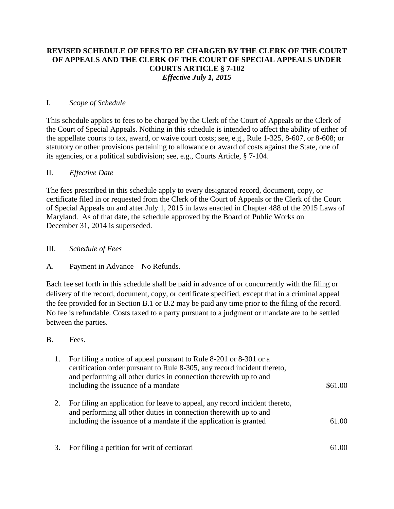# **REVISED SCHEDULE OF FEES TO BE CHARGED BY THE CLERK OF THE COURT OF APPEALS AND THE CLERK OF THE COURT OF SPECIAL APPEALS UNDER COURTS ARTICLE § 7-102** *Effective July 1, 2015*

### I. *Scope of Schedule*

This schedule applies to fees to be charged by the Clerk of the Court of Appeals or the Clerk of the Court of Special Appeals. Nothing in this schedule is intended to affect the ability of either of the appellate courts to tax, award, or waive court costs; see, e.g., Rule 1-325, 8-607, or 8-608; or statutory or other provisions pertaining to allowance or award of costs against the State, one of its agencies, or a political subdivision; see, e.g., [Courts Article, § 7-104.](http://web2.westlaw.com/find/default.wl?mt=Maryland&db=1000021&rs=WLW14.04&docname=MDCATS7-104&rp=%2ffind%2fdefault.wl&findtype=L&ordoc=13996568&tc=-1&vr=2.0&fn=_top&sv=Split&tf=-1&pbc=2B9A918A&utid=1)

### II. *Effective Date*

The fees prescribed in this schedule apply to every designated record, document, copy, or certificate filed in or requested from the Clerk of the Court of Appeals or the Clerk of the Court of Special Appeals on and after July 1, 2015 in laws enacted in Chapter 488 of the 2015 Laws of Maryland. As of that date, the schedule approved by the Board of Public Works on December 31, 2014 is superseded.

## III. *Schedule of Fees*

A. Payment in Advance – No Refunds.

Each fee set forth in this schedule shall be paid in advance of or concurrently with the filing or delivery of the record, document, copy, or certificate specified, except that in a criminal appeal the fee provided for in Section B.1 or B.2 may be paid any time prior to the filing of the record. No fee is refundable. Costs taxed to a party pursuant to a judgment or mandate are to be settled between the parties.

### B. Fees.

| 1. | For filing a notice of appeal pursuant to Rule 8-201 or 8-301 or a       |         |
|----|--------------------------------------------------------------------------|---------|
|    | certification order pursuant to Rule 8-305, any record incident thereto, |         |
|    | and performing all other duties in connection therewith up to and        |         |
|    | including the issuance of a mandate                                      | \$61.00 |
|    |                                                                          |         |

- 2. For filing an application for leave to appeal, any record incident thereto, and performing all other duties in connection therewith up to and including the issuance of a mandate if the application is granted 61.00
- 3. For filing a petition for writ of certiorari 61.00